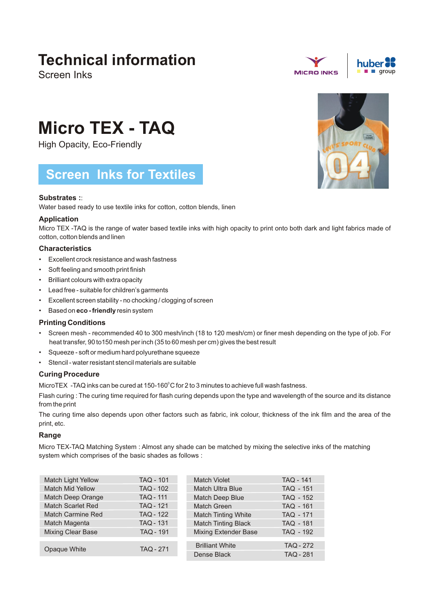# **Technical information**

Screen Inks





# **Micro TEX - TAQ**

High Opacity, Eco-Friendly

# **Screen Inks for Textiles**

# **Substrates :**:

Water based ready to use textile inks for cotton, cotton blends, linen

## **Application**

Micro TEX -TAQ is the range of water based textile inks with high opacity to print onto both dark and light fabrics made of cotton, cotton blends and linen

## **Characteristics**

- Excellent crock resistance and wash fastness
- Soft feeling and smooth print finish
- Brilliant colours with extra opacity
- Lead free suitable for children's garments
- Excellent screen stability no chocking / clogging of screen
- Based on **eco friendly** resin system

## **Printing Conditions**

- Screen mesh recommended 40 to 300 mesh/inch (18 to 120 mesh/cm) or finer mesh depending on the type of job. For heat transfer, 90 to150 mesh per inch (35 to 60 mesh per cm) gives the best result
- Squeeze soft or medium hard polyurethane squeeze
- Stencil water resistant stencil materials are suitable

## **Curing Procedure**

MicroTEX -TAQ inks can be cured at  $150-160^\circ$ C for 2 to 3 minutes to achieve full wash fastness.

Flash curing : The curing time required for flash curing depends upon the type and wavelength of the source and its distance from the print

The curing time also depends upon other factors such as fabric, ink colour, thickness of the ink film and the area of the print, etc.

## **Range**

Micro TEX-TAQ Matching System : Almost any shade can be matched by mixing the selective inks of the matching system which comprises of the basic shades as follows :

| <b>Match Light Yellow</b> | <b>TAQ - 101</b> | <b>TAQ - 141</b><br>Match Violet                |  |
|---------------------------|------------------|-------------------------------------------------|--|
| <b>Match Mid Yellow</b>   | <b>TAQ - 102</b> | <b>Match Ultra Blue</b><br><b>TAQ - 151</b>     |  |
| Match Deep Orange         | <b>TAQ - 111</b> | Match Deep Blue<br><b>TAQ - 152</b>             |  |
| <b>Match Scarlet Red</b>  | <b>TAQ - 121</b> | Match Green<br><b>TAQ - 161</b>                 |  |
| <b>Match Carmine Red</b>  | <b>TAQ - 122</b> | <b>Match Tinting White</b><br><b>TAQ - 171</b>  |  |
| Match Magenta             | <b>TAQ - 131</b> | <b>Match Tinting Black</b><br><b>TAQ - 181</b>  |  |
| <b>Mixing Clear Base</b>  | <b>TAQ - 191</b> | <b>Mixing Extender Base</b><br><b>TAQ - 192</b> |  |
|                           |                  |                                                 |  |
| Opaque White              | <b>TAQ - 271</b> | <b>TAQ - 272</b><br><b>Brilliant White</b>      |  |
|                           |                  | <b>TAQ - 281</b><br>Dense Black                 |  |